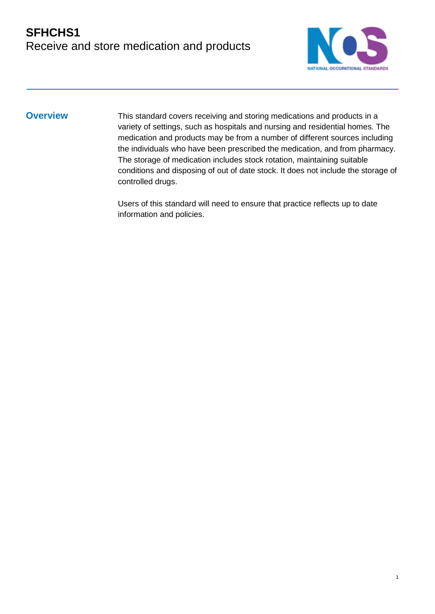

1

**Overview** This standard covers receiving and storing medications and products in a variety of settings, such as hospitals and nursing and residential homes. The medication and products may be from a number of different sources including the individuals who have been prescribed the medication, and from pharmacy. The storage of medication includes stock rotation, maintaining suitable conditions and disposing of out of date stock. It does not include the storage of controlled drugs.

> Users of this standard will need to ensure that practice reflects up to date information and policies.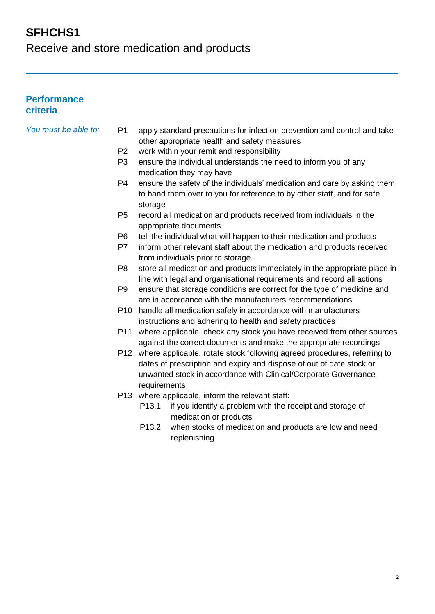### **SFHCHS1**

Receive and store medication and products

#### **Performance criteria**

- *You must be able to:* P1 apply standard precautions for infection prevention and control and take other appropriate health and safety measures
	- P2 work within your remit and responsibility
	- P3 ensure the individual understands the need to inform you of any medication they may have
	- P4 ensure the safety of the individuals' medication and care by asking them to hand them over to you for reference to by other staff, and for safe storage
	- P5 record all medication and products received from individuals in the appropriate documents
	- P6 tell the individual what will happen to their medication and products
	- P7 inform other relevant staff about the medication and products received from individuals prior to storage
	- P8 store all medication and products immediately in the appropriate place in line with legal and organisational requirements and record all actions
	- P9 ensure that storage conditions are correct for the type of medicine and are in accordance with the manufacturers recommendations
	- P10 handle all medication safely in accordance with manufacturers instructions and adhering to health and safety practices
	- P11 where applicable, check any stock you have received from other sources against the correct documents and make the appropriate recordings
	- P12 where applicable, rotate stock following agreed procedures, referring to dates of prescription and expiry and dispose of out of date stock or unwanted stock in accordance with Clinical/Corporate Governance requirements
	- P13 where applicable, inform the relevant staff:
		- P13.1 if you identify a problem with the receipt and storage of medication or products
		- P13.2 when stocks of medication and products are low and need replenishing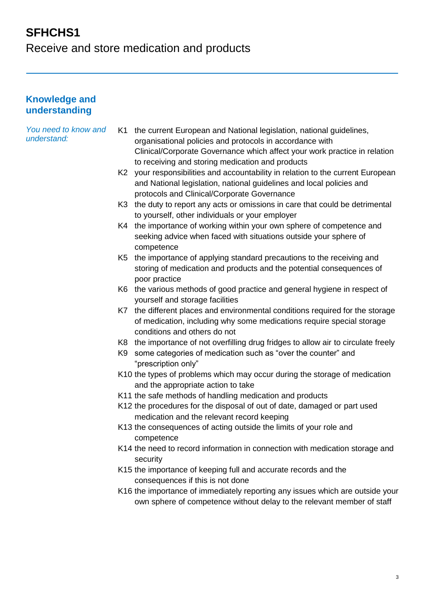# **SFHCHS1**

Receive and store medication and products

#### **Knowledge and understanding**

| You need to know and<br>understand: |    | K1 the current European and National legislation, national guidelines,<br>organisational policies and protocols in accordance with<br>Clinical/Corporate Governance which affect your work practice in relation<br>to receiving and storing medication and products |
|-------------------------------------|----|---------------------------------------------------------------------------------------------------------------------------------------------------------------------------------------------------------------------------------------------------------------------|
|                                     |    | K2 your responsibilities and accountability in relation to the current European<br>and National legislation, national guidelines and local policies and<br>protocols and Clinical/Corporate Governance                                                              |
|                                     |    | K3 the duty to report any acts or omissions in care that could be detrimental<br>to yourself, other individuals or your employer                                                                                                                                    |
|                                     |    | K4 the importance of working within your own sphere of competence and<br>seeking advice when faced with situations outside your sphere of<br>competence                                                                                                             |
|                                     |    | K5 the importance of applying standard precautions to the receiving and<br>storing of medication and products and the potential consequences of<br>poor practice                                                                                                    |
|                                     |    | K6 the various methods of good practice and general hygiene in respect of<br>yourself and storage facilities                                                                                                                                                        |
|                                     |    | K7 the different places and environmental conditions required for the storage<br>of medication, including why some medications require special storage<br>conditions and others do not                                                                              |
|                                     |    | K8 the importance of not overfilling drug fridges to allow air to circulate freely                                                                                                                                                                                  |
|                                     | K9 | some categories of medication such as "over the counter" and<br>"prescription only"                                                                                                                                                                                 |
|                                     |    | K10 the types of problems which may occur during the storage of medication<br>and the appropriate action to take                                                                                                                                                    |
|                                     |    | K11 the safe methods of handling medication and products                                                                                                                                                                                                            |
|                                     |    | K12 the procedures for the disposal of out of date, damaged or part used<br>medication and the relevant record keeping                                                                                                                                              |
|                                     |    | K13 the consequences of acting outside the limits of your role and<br>competence                                                                                                                                                                                    |
|                                     |    | K14 the need to record information in connection with medication storage and<br>security                                                                                                                                                                            |
|                                     |    | K15 the importance of keeping full and accurate records and the<br>consequences if this is not done                                                                                                                                                                 |
|                                     |    | K16 the importance of immediately reporting any issues which are outside your<br>own sphere of competence without delay to the relevant member of staff                                                                                                             |
|                                     |    |                                                                                                                                                                                                                                                                     |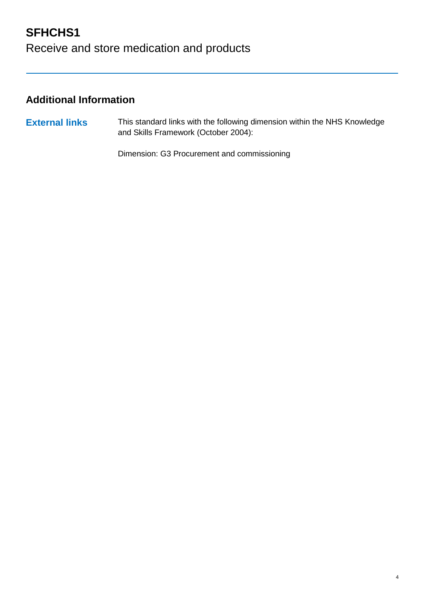## **SFHCHS1** Receive and store medication and products

### **Additional Information**

**External links** This standard links with the following dimension within the NHS Knowledge and Skills Framework (October 2004):

Dimension: G3 Procurement and commissioning